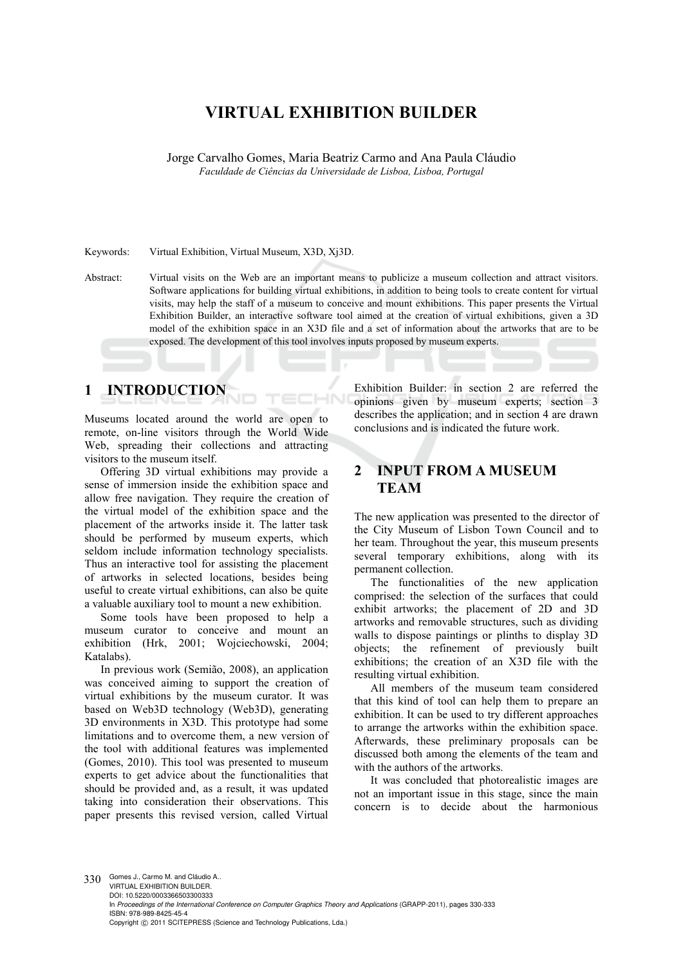# **VIRTUAL EXHIBITION BUILDER**

Jorge Carvalho Gomes, Maria Beatriz Carmo and Ana Paula Cláudio *Faculdade de Ciências da Universidade de Lisboa, Lisboa, Portugal* 

Keywords: Virtual Exhibition, Virtual Museum, X3D, Xj3D.

Abstract: Virtual visits on the Web are an important means to publicize a museum collection and attract visitors. Software applications for building virtual exhibitions, in addition to being tools to create content for virtual visits, may help the staff of a museum to conceive and mount exhibitions. This paper presents the Virtual Exhibition Builder, an interactive software tool aimed at the creation of virtual exhibitions, given a 3D model of the exhibition space in an X3D file and a set of information about the artworks that are to be exposed. The development of this tool involves inputs proposed by museum experts.

 $\overline{\phantom{a}}$ 

### **1 INTRODUCTION**

Museums located around the world are open to remote, on-line visitors through the World Wide Web, spreading their collections and attracting visitors to the museum itself.

Offering 3D virtual exhibitions may provide a sense of immersion inside the exhibition space and allow free navigation. They require the creation of the virtual model of the exhibition space and the placement of the artworks inside it. The latter task should be performed by museum experts, which seldom include information technology specialists. Thus an interactive tool for assisting the placement of artworks in selected locations, besides being useful to create virtual exhibitions, can also be quite a valuable auxiliary tool to mount a new exhibition.

Some tools have been proposed to help a museum curator to conceive and mount an exhibition (Hrk, 2001; Wojciechowski, 2004; Katalabs).

In previous work (Semião, 2008), an application was conceived aiming to support the creation of virtual exhibitions by the museum curator. It was based on Web3D technology (Web3D), generating 3D environments in X3D. This prototype had some limitations and to overcome them, a new version of the tool with additional features was implemented (Gomes, 2010). This tool was presented to museum experts to get advice about the functionalities that should be provided and, as a result, it was updated taking into consideration their observations. This paper presents this revised version, called Virtual

Exhibition Builder: in section 2 are referred the opinions given by museum experts; section 3 describes the application; and in section 4 are drawn conclusions and is indicated the future work.

## **2 INPUT FROM A MUSEUM TEAM**

The new application was presented to the director of the City Museum of Lisbon Town Council and to her team. Throughout the year, this museum presents several temporary exhibitions, along with its permanent collection.

The functionalities of the new application comprised: the selection of the surfaces that could exhibit artworks; the placement of 2D and 3D artworks and removable structures, such as dividing walls to dispose paintings or plinths to display 3D objects; the refinement of previously built exhibitions; the creation of an X3D file with the resulting virtual exhibition.

All members of the museum team considered that this kind of tool can help them to prepare an exhibition. It can be used to try different approaches to arrange the artworks within the exhibition space. Afterwards, these preliminary proposals can be discussed both among the elements of the team and with the authors of the artworks.

It was concluded that photorealistic images are not an important issue in this stage, since the main concern is to decide about the harmonious

330 Gomes J., Carmo M. and Cláudio A.. VIRTUAL EXHIBITION BUILDER. DOI: 10.5220/0003366503300333 In *Proceedings of the International Conference on Computer Graphics Theory and Applications* (GRAPP-2011), pages 330-333 ISBN: 978-989-8425-45-4 Copyright © 2011 SCITEPRESS (Science and Technology Publications, Lda.)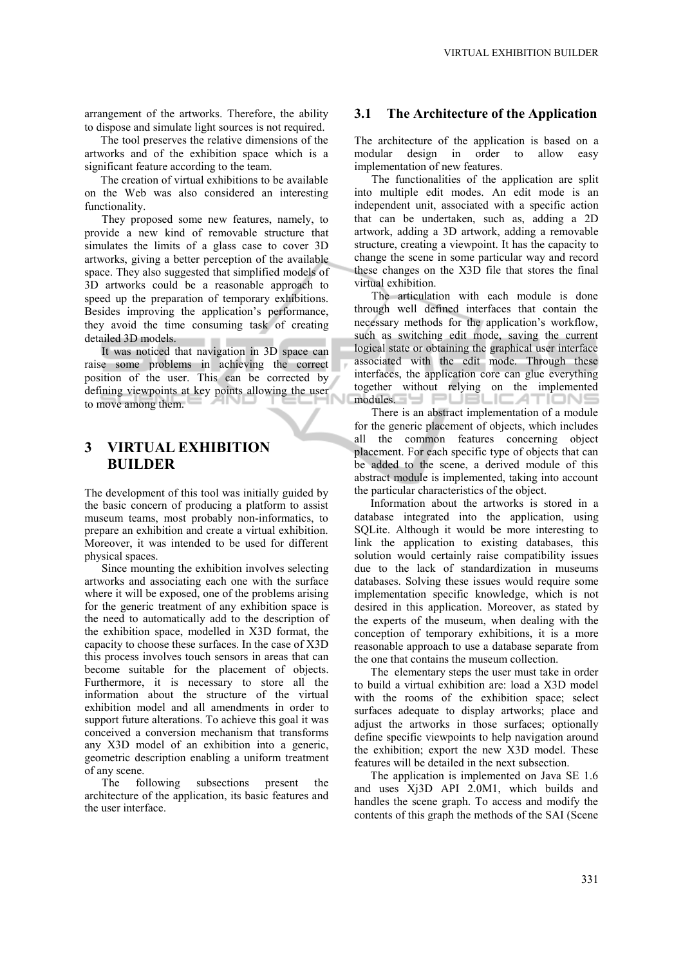arrangement of the artworks. Therefore, the ability to dispose and simulate light sources is not required.

The tool preserves the relative dimensions of the artworks and of the exhibition space which is a significant feature according to the team.

The creation of virtual exhibitions to be available on the Web was also considered an interesting functionality.

They proposed some new features, namely, to provide a new kind of removable structure that simulates the limits of a glass case to cover 3D artworks, giving a better perception of the available space. They also suggested that simplified models of 3D artworks could be a reasonable approach to speed up the preparation of temporary exhibitions. Besides improving the application's performance, they avoid the time consuming task of creating detailed 3D models.

It was noticed that navigation in 3D space can raise some problems in achieving the correct position of the user. This can be corrected by defining viewpoints at key points allowing the user to move among them.

### **3 VIRTUAL EXHIBITION BUILDER**

The development of this tool was initially guided by the basic concern of producing a platform to assist museum teams, most probably non-informatics, to prepare an exhibition and create a virtual exhibition. Moreover, it was intended to be used for different physical spaces.

Since mounting the exhibition involves selecting artworks and associating each one with the surface where it will be exposed, one of the problems arising for the generic treatment of any exhibition space is the need to automatically add to the description of the exhibition space, modelled in X3D format, the capacity to choose these surfaces. In the case of X3D this process involves touch sensors in areas that can become suitable for the placement of objects. Furthermore, it is necessary to store all the information about the structure of the virtual exhibition model and all amendments in order to support future alterations. To achieve this goal it was conceived a conversion mechanism that transforms any X3D model of an exhibition into a generic, geometric description enabling a uniform treatment of any scene.

The following subsections present the architecture of the application, its basic features and the user interface.

#### **3.1 The Architecture of the Application**

The architecture of the application is based on a modular design in order to allow easy implementation of new features.

The functionalities of the application are split into multiple edit modes. An edit mode is an independent unit, associated with a specific action that can be undertaken, such as, adding a 2D artwork, adding a 3D artwork, adding a removable structure, creating a viewpoint. It has the capacity to change the scene in some particular way and record these changes on the X3D file that stores the final virtual exhibition.

The articulation with each module is done through well defined interfaces that contain the necessary methods for the application's workflow, such as switching edit mode, saving the current logical state or obtaining the graphical user interface associated with the edit mode. Through these interfaces, the application core can glue everything together without relying on the implemented modules.

There is an abstract implementation of a module for the generic placement of objects, which includes all the common features concerning object placement. For each specific type of objects that can be added to the scene, a derived module of this abstract module is implemented, taking into account the particular characteristics of the object.

Information about the artworks is stored in a database integrated into the application, using SQLite. Although it would be more interesting to link the application to existing databases, this solution would certainly raise compatibility issues due to the lack of standardization in museums databases. Solving these issues would require some implementation specific knowledge, which is not desired in this application. Moreover, as stated by the experts of the museum, when dealing with the conception of temporary exhibitions, it is a more reasonable approach to use a database separate from the one that contains the museum collection.

The elementary steps the user must take in order to build a virtual exhibition are: load a X3D model with the rooms of the exhibition space; select surfaces adequate to display artworks; place and adjust the artworks in those surfaces; optionally define specific viewpoints to help navigation around the exhibition; export the new X3D model. These features will be detailed in the next subsection.

The application is implemented on Java SE 1.6 and uses Xj3D API 2.0M1, which builds and handles the scene graph. To access and modify the contents of this graph the methods of the SAI (Scene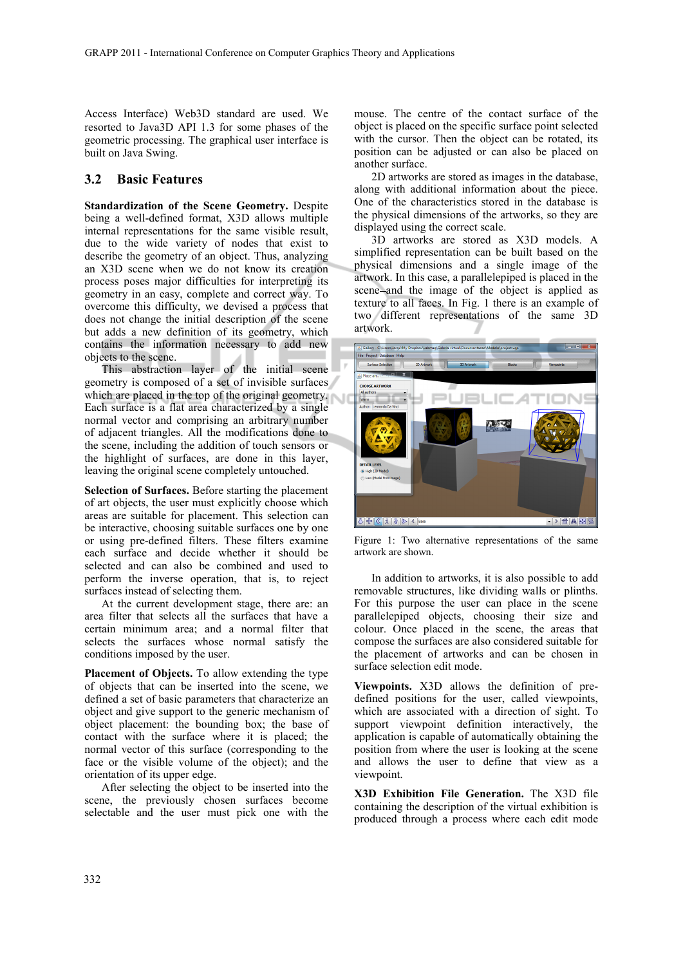Access Interface) Web3D standard are used. We resorted to Java3D API 1.3 for some phases of the geometric processing. The graphical user interface is built on Java Swing.

#### **3.2 Basic Features**

**Standardization of the Scene Geometry.** Despite being a well-defined format, X3D allows multiple internal representations for the same visible result, due to the wide variety of nodes that exist to describe the geometry of an object. Thus, analyzing an X3D scene when we do not know its creation process poses major difficulties for interpreting its geometry in an easy, complete and correct way. To overcome this difficulty, we devised a process that does not change the initial description of the scene but adds a new definition of its geometry, which contains the information necessary to add new objects to the scene.

This abstraction layer of the initial scene geometry is composed of a set of invisible surfaces which are placed in the top of the original geometry. Each surface is a flat area characterized by a single normal vector and comprising an arbitrary number of adjacent triangles. All the modifications done to the scene, including the addition of touch sensors or the highlight of surfaces, are done in this layer, leaving the original scene completely untouched.

**Selection of Surfaces.** Before starting the placement of art objects, the user must explicitly choose which areas are suitable for placement. This selection can be interactive, choosing suitable surfaces one by one or using pre-defined filters. These filters examine each surface and decide whether it should be selected and can also be combined and used to perform the inverse operation, that is, to reject surfaces instead of selecting them.

At the current development stage, there are: an area filter that selects all the surfaces that have a certain minimum area; and a normal filter that selects the surfaces whose normal satisfy the conditions imposed by the user.

**Placement of Objects.** To allow extending the type of objects that can be inserted into the scene, we defined a set of basic parameters that characterize an object and give support to the generic mechanism of object placement: the bounding box; the base of contact with the surface where it is placed; the normal vector of this surface (corresponding to the face or the visible volume of the object); and the orientation of its upper edge.

After selecting the object to be inserted into the scene, the previously chosen surfaces become selectable and the user must pick one with the mouse. The centre of the contact surface of the object is placed on the specific surface point selected with the cursor. Then the object can be rotated, its position can be adjusted or can also be placed on another surface.

2D artworks are stored as images in the database, along with additional information about the piece. One of the characteristics stored in the database is the physical dimensions of the artworks, so they are displayed using the correct scale.

3D artworks are stored as X3D models. A simplified representation can be built based on the physical dimensions and a single image of the artwork. In this case, a parallelepiped is placed in the scene and the image of the object is applied as texture to all faces. In Fig. 1 there is an example of two different representations of the same 3D artwork.



Figure 1: Two alternative representations of the same artwork are shown.

In addition to artworks, it is also possible to add removable structures, like dividing walls or plinths. For this purpose the user can place in the scene parallelepiped objects, choosing their size and colour. Once placed in the scene, the areas that compose the surfaces are also considered suitable for the placement of artworks and can be chosen in surface selection edit mode.

**Viewpoints.** X3D allows the definition of predefined positions for the user, called viewpoints, which are associated with a direction of sight. To support viewpoint definition interactively, the application is capable of automatically obtaining the position from where the user is looking at the scene and allows the user to define that view as a viewpoint.

**X3D Exhibition File Generation.** The X3D file containing the description of the virtual exhibition is produced through a process where each edit mode